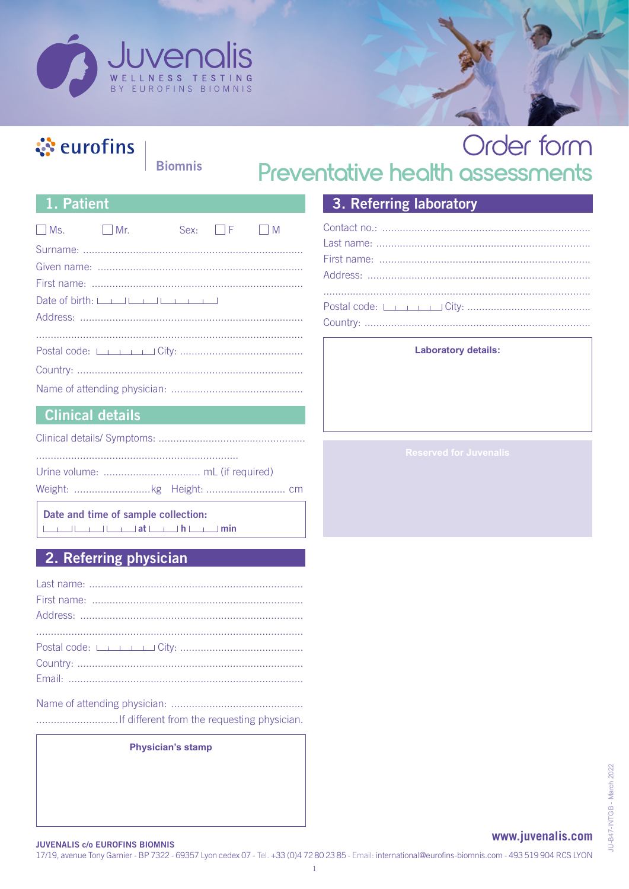

### ं eurofins

**Biomnis** 

### Order form Preventative health assessments

#### 1. Patient

| $\Box$ Ms. $\Box$ Mr. |                       | Sex: $\Box$ F $\Box$ M |  |
|-----------------------|-----------------------|------------------------|--|
|                       |                       |                        |  |
|                       |                       |                        |  |
|                       |                       |                        |  |
|                       | Date of birth: $\Box$ |                        |  |
|                       |                       |                        |  |
|                       |                       |                        |  |
|                       |                       |                        |  |
|                       |                       |                        |  |
|                       |                       |                        |  |

### **Clinical details**

Date and time of sample collection: 

#### 2. Referring physician

**Physician's stamp** 

### 3. Referring laboratory

#### **Laboratory details:**

#### www.juvenalis.com

**JUVENALIS c/o EUROFINS BIOMNIS** 

17/19, avenue Tony Garnier - BP 7322 - 69357 Lyon cedex 07 - Tel. +33 (0)4 72 80 23 85 - Email: international@eurofins-biomnis.com - 493 519 904 RCS LYON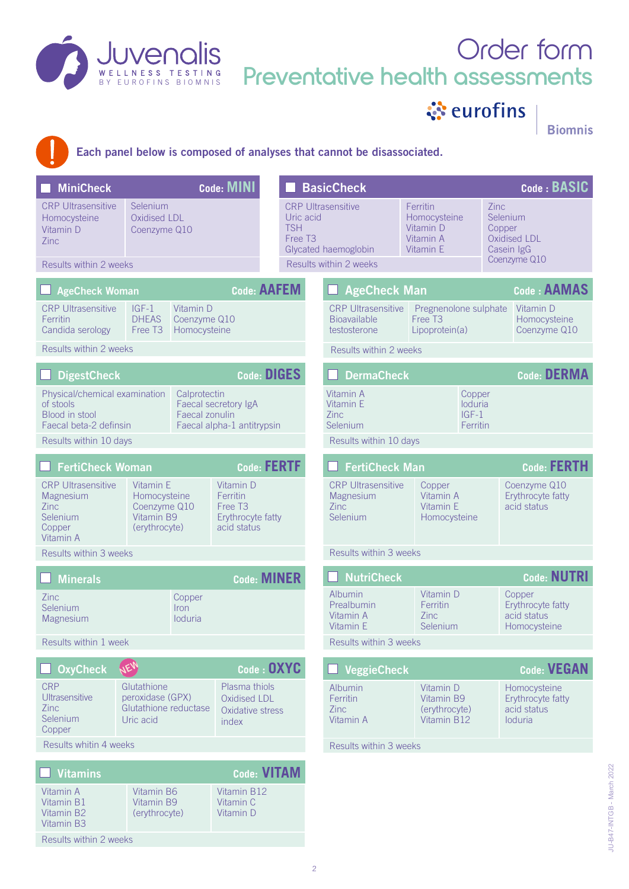

# Order form **Preventative health assessments**

ं eurofins

**Biomnis** 



Each panel below is composed of analyses that cannot be disassociated.

| <b>MiniCheck</b>                                                                                                                                                     |                                                 |                                                                                  | <b>Code: MINI</b>                                  |                        |                                                                                                                                    | <b>BasicCheck</b>                                       |                                                                                 |                                          |                                                             | Code: BASIC                                                |  |
|----------------------------------------------------------------------------------------------------------------------------------------------------------------------|-------------------------------------------------|----------------------------------------------------------------------------------|----------------------------------------------------|------------------------|------------------------------------------------------------------------------------------------------------------------------------|---------------------------------------------------------|---------------------------------------------------------------------------------|------------------------------------------|-------------------------------------------------------------|------------------------------------------------------------|--|
| <b>CRP Ultrasensitive</b><br>Homocysteine<br>Vitamin D<br><b>Zinc</b><br>Results within 2 weeks                                                                      | Selenium<br><b>Oxidised LDL</b><br>Coenzyme Q10 | <b>TSH</b><br>Free T <sub>3</sub>                                                |                                                    | Uric acid              | <b>CRP Ultrasensitive</b><br>Ferritin<br>Homocysteine<br>Vitamin D<br>Vitamin A<br>Glycated haemoglobin<br>Vitamin E               |                                                         | Zinc<br>Selenium<br>Copper<br><b>Oxidised LDL</b><br>Casein IgG<br>Coenzyme Q10 |                                          |                                                             |                                                            |  |
|                                                                                                                                                                      |                                                 |                                                                                  |                                                    |                        |                                                                                                                                    | Results within 2 weeks                                  |                                                                                 |                                          |                                                             |                                                            |  |
| <b>AgeCheck Woman</b>                                                                                                                                                |                                                 |                                                                                  |                                                    | <b>Code: AAFEM</b>     |                                                                                                                                    | <b>AgeCheck Man</b>                                     |                                                                                 |                                          |                                                             | Code: AAMAS                                                |  |
| <b>CRP Ultrasensitive</b><br><b>Ferritin</b><br>Candida serology                                                                                                     | $IGF-1$<br><b>DHFAS</b><br>Free T <sub>3</sub>  | Vitamin D<br>Coenzyme Q10<br>Homocysteine                                        |                                                    |                        | <b>CRP Ultrasensitive</b><br>Pregnenolone sulphate<br><b>Bioavailable</b><br>Free T <sub>3</sub><br>testosterone<br>Lipoprotein(a) |                                                         |                                                                                 |                                          | Vitamin D<br>Homocysteine<br>Coenzyme Q10                   |                                                            |  |
| Results within 2 weeks                                                                                                                                               |                                                 |                                                                                  |                                                    |                        |                                                                                                                                    | Results within 2 weeks                                  |                                                                                 |                                          |                                                             |                                                            |  |
| <b>DigestCheck</b>                                                                                                                                                   |                                                 |                                                                                  | <b>Code: DIGES</b>                                 |                        | <b>DermaCheck</b>                                                                                                                  |                                                         |                                                                                 |                                          | <b>Code: DERMA</b>                                          |                                                            |  |
| Physical/chemical examination<br>of stools<br><b>Blood in stool</b><br>Faecal beta-2 definsin                                                                        |                                                 | Calprotectin<br>Faecal zonulin                                                   | Faecal secretory IgA<br>Faecal alpha-1 antitrypsin |                        |                                                                                                                                    | Vitamin A<br>Vitamin E<br>Zinc<br>Selenium              |                                                                                 | Copper<br>loduria<br>$IGF-1$<br>Ferritin |                                                             |                                                            |  |
| Results within 10 days                                                                                                                                               |                                                 |                                                                                  |                                                    |                        |                                                                                                                                    | Results within 10 days                                  |                                                                                 |                                          |                                                             |                                                            |  |
| <b>FertiCheck Woman</b>                                                                                                                                              |                                                 |                                                                                  |                                                    | <b>Code: FERTF</b>     |                                                                                                                                    | <b>FertiCheck Man</b>                                   |                                                                                 |                                          | <b>Code: FERTH</b>                                          |                                                            |  |
| <b>CRP Ultrasensitive</b><br>Vitamin E<br>Homocysteine<br>Magnesium<br>Coenzyme Q10<br><b>Zinc</b><br>Vitamin B9<br>Selenium<br>(erythrocyte)<br>Copper<br>Vitamin A |                                                 | Vitamin D<br>Ferritin<br>Free T <sub>3</sub><br>Erythrocyte fatty<br>acid status |                                                    |                        | <b>CRP Ultrasensitive</b><br>Magnesium<br><b>Zinc</b><br>Selenium                                                                  |                                                         | Copper<br>Vitamin A<br>Vitamin E<br>Homocysteine                                |                                          | Coenzyme Q10<br>Erythrocyte fatty<br>acid status            |                                                            |  |
| Results within 3 weeks                                                                                                                                               |                                                 |                                                                                  |                                                    |                        |                                                                                                                                    | Results within 3 weeks                                  |                                                                                 |                                          |                                                             |                                                            |  |
| <b>Minerals</b>                                                                                                                                                      |                                                 |                                                                                  |                                                    | <b>Code: MINER</b>     |                                                                                                                                    | <b>NutriCheck</b>                                       |                                                                                 |                                          |                                                             | <b>Code: NUTRI</b>                                         |  |
| Zinc<br>Selenium<br>Magnesium                                                                                                                                        |                                                 | Copper<br><i>Iron</i><br>loduria                                                 |                                                    |                        |                                                                                                                                    | Albumin<br>Prealbumin<br>Vitamin A<br>Vitamin E         | <b>Zinc</b>                                                                     | Vitamin D<br>Ferritin<br>Selenium        |                                                             | Copper<br>Erythrocyte fatty<br>acid status<br>Homocysteine |  |
| Results within 1 week                                                                                                                                                |                                                 |                                                                                  |                                                    |                        | Results within 3 weeks                                                                                                             |                                                         |                                                                                 |                                          |                                                             |                                                            |  |
| <b>OxyCheck</b>                                                                                                                                                      | JEW                                             |                                                                                  |                                                    | Code : OXYC            |                                                                                                                                    | <b>VeggieCheck</b>                                      |                                                                                 |                                          |                                                             | <b>Code: VEGAN</b>                                         |  |
| <b>CRP</b><br>Glutathione<br><b>Ultrasensitive</b><br>peroxidase (GPX)<br>Zinc<br>Glutathione reductase<br>Selenium<br>Uric acid<br>Copper                           |                                                 | Plasma thiols<br>Oxidised LDL<br>Oxidative stress<br>index                       |                                                    |                        | Albumin<br>Ferritin<br>Zinc<br>Vitamin A                                                                                           | Vitamin D<br>Vitamin B9<br>(erythrocyte)<br>Vitamin B12 |                                                                                 |                                          | Homocysteine<br>Erythrocyte fatty<br>acid status<br>loduria |                                                            |  |
| Results whitin 4 weeks                                                                                                                                               |                                                 |                                                                                  |                                                    | Results within 3 weeks |                                                                                                                                    |                                                         |                                                                                 |                                          |                                                             |                                                            |  |
| <b>Vitamins</b>                                                                                                                                                      |                                                 |                                                                                  |                                                    | <b>Code: VITAM</b>     |                                                                                                                                    |                                                         |                                                                                 |                                          |                                                             |                                                            |  |
| Vitamin A<br>Vitamin B1<br>Vitamin B2<br><b>Vitamin B3</b><br>Results within 2 weeks                                                                                 | Vitamin B6<br>Vitamin B9<br>(erythrocyte)       |                                                                                  | Vitamin B12<br>Vitamin C<br>Vitamin D              |                        |                                                                                                                                    |                                                         |                                                                                 |                                          |                                                             |                                                            |  |